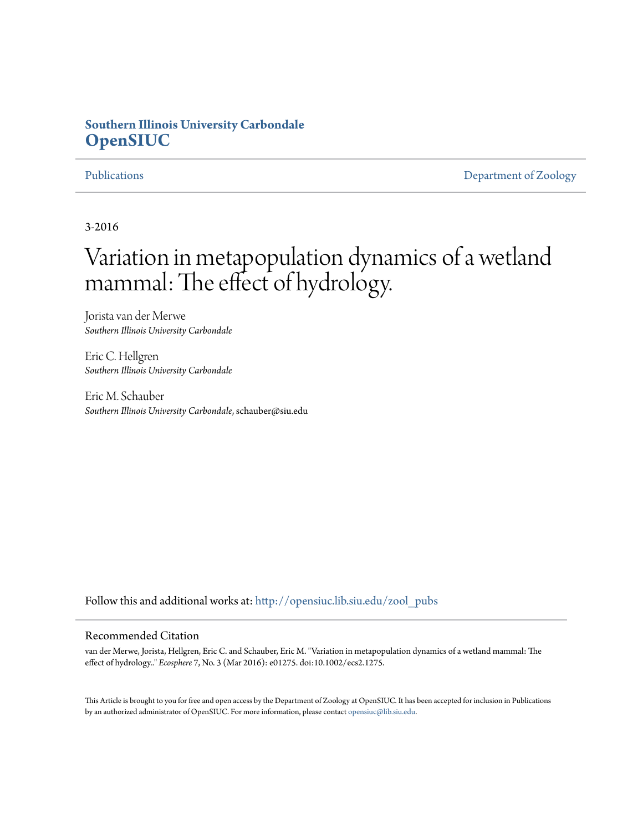# **Southern Illinois University Carbondale [OpenSIUC](http://opensiuc.lib.siu.edu?utm_source=opensiuc.lib.siu.edu%2Fzool_pubs%2F110&utm_medium=PDF&utm_campaign=PDFCoverPages)**

[Publications](http://opensiuc.lib.siu.edu/zool_pubs?utm_source=opensiuc.lib.siu.edu%2Fzool_pubs%2F110&utm_medium=PDF&utm_campaign=PDFCoverPages) **[Department of Zoology](http://opensiuc.lib.siu.edu/zool?utm_source=opensiuc.lib.siu.edu%2Fzool_pubs%2F110&utm_medium=PDF&utm_campaign=PDFCoverPages)** 

3-2016

# Variation in metapopulation dynamics of a wetland mammal: The effect of hydrology.

Jorista van der Merwe *Southern Illinois University Carbondale*

Eric C. Hellgren *Southern Illinois University Carbondale*

Eric M. Schauber *Southern Illinois University Carbondale*, schauber@siu.edu

Follow this and additional works at: [http://opensiuc.lib.siu.edu/zool\\_pubs](http://opensiuc.lib.siu.edu/zool_pubs?utm_source=opensiuc.lib.siu.edu%2Fzool_pubs%2F110&utm_medium=PDF&utm_campaign=PDFCoverPages)

#### Recommended Citation

van der Merwe, Jorista, Hellgren, Eric C. and Schauber, Eric M. "Variation in metapopulation dynamics of a wetland mammal: The effect of hydrology.." *Ecosphere* 7, No. 3 (Mar 2016): e01275. doi:10.1002/ecs2.1275.

This Article is brought to you for free and open access by the Department of Zoology at OpenSIUC. It has been accepted for inclusion in Publications by an authorized administrator of OpenSIUC. For more information, please contact [opensiuc@lib.siu.edu.](mailto:opensiuc@lib.siu.edu)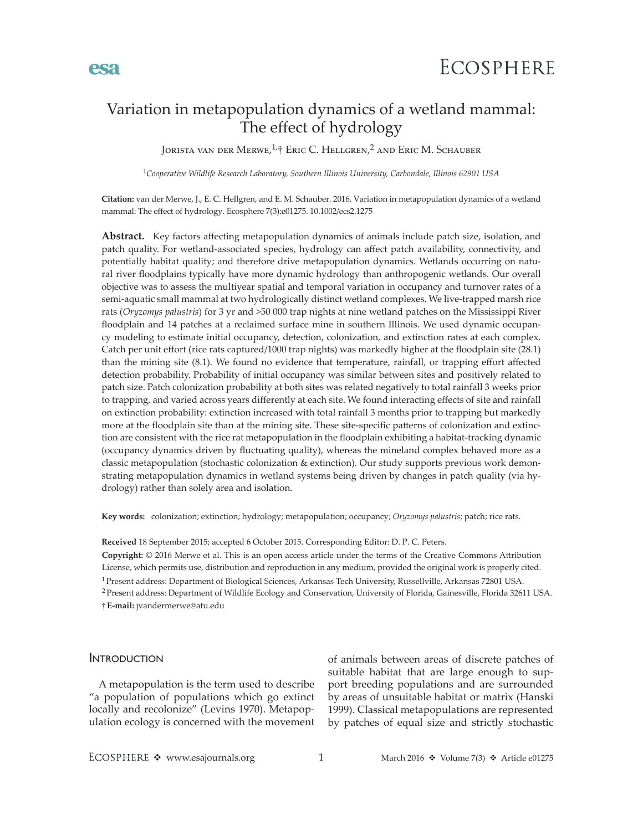# Variation in metapopulation dynamics of a wetland mammal: The effect of hydrology

Jorista van der Merwe, <sup>1,</sup>† Eric C. Hellgren,<sup>2</sup> and Eric M. Schauber

<sup>1</sup>*Cooperative Wildlife Research Laboratory, Southern Illinois University, Carbondale, Illinois 62901 USA*

**Citation:** van der Merwe, J., E. C. Hellgren, and E. M. Schauber. 2016. Variation in metapopulation dynamics of a wetland mammal: The effect of hydrology. Ecosphere 7(3):e01275. 10.1002/ecs2.1275

**Abstract.** Key factors affecting metapopulation dynamics of animals include patch size, isolation, and patch quality. For wetland-associated species, hydrology can affect patch availability, connectivity, and potentially habitat quality; and therefore drive metapopulation dynamics. Wetlands occurring on natural river floodplains typically have more dynamic hydrology than anthropogenic wetlands. Our overall objective was to assess the multiyear spatial and temporal variation in occupancy and turnover rates of a semi-aquatic small mammal at two hydrologically distinct wetland complexes. We live-trapped marsh rice rats (*Oryzomys palustris*) for 3 yr and >50 000 trap nights at nine wetland patches on the Mississippi River floodplain and 14 patches at a reclaimed surface mine in southern Illinois. We used dynamic occupancy modeling to estimate initial occupancy, detection, colonization, and extinction rates at each complex. Catch per unit effort (rice rats captured/1000 trap nights) was markedly higher at the floodplain site (28.1) than the mining site (8.1). We found no evidence that temperature, rainfall, or trapping effort affected detection probability. Probability of initial occupancy was similar between sites and positively related to patch size. Patch colonization probability at both sites was related negatively to total rainfall 3 weeks prior to trapping, and varied across years differently at each site. We found interacting effects of site and rainfall on extinction probability: extinction increased with total rainfall 3 months prior to trapping but markedly more at the floodplain site than at the mining site. These site-specific patterns of colonization and extinction are consistent with the rice rat metapopulation in the floodplain exhibiting a habitat-tracking dynamic (occupancy dynamics driven by fluctuating quality), whereas the mineland complex behaved more as a classic metapopulation (stochastic colonization & extinction). Our study supports previous work demonstrating metapopulation dynamics in wetland systems being driven by changes in patch quality (via hydrology) rather than solely area and isolation.

**Key words:** colonization; extinction; hydrology; metapopulation; occupancy; *Oryzomys palustris*; patch; rice rats.

**Received** 18 September 2015; accepted 6 October 2015. Corresponding Editor: D. P. C. Peters.

**Copyright:** © 2016 Merwe et al. This is an open access article under the terms of the [Creative Commons Attribution](http://creativecommons.org/licenses/by/3.0/)  License, which permits use, distribution and reproduction in any medium, provided the original work is properly cited.

1 Present address: Department of Biological Sciences, Arkansas Tech University, Russellville, Arkansas 72801 USA.

†**E-mail:** [jvandermerwe@atu.edu](mailto:jvandermerwe@atu.edu) 2 Present address: Department of Wildlife Ecology and Conservation, University of Florida, Gainesville, Florida 32611 USA.

#### **INTRODUCTION**

A metapopulation is the term used to describe "a population of populations which go extinct locally and recolonize" (Levins 1970). Metapopulation ecology is concerned with the movement

of animals between areas of discrete patches of suitable habitat that are large enough to support breeding populations and are surrounded by areas of unsuitable habitat or matrix (Hanski 1999). Classical metapopulations are represented by patches of equal size and strictly stochastic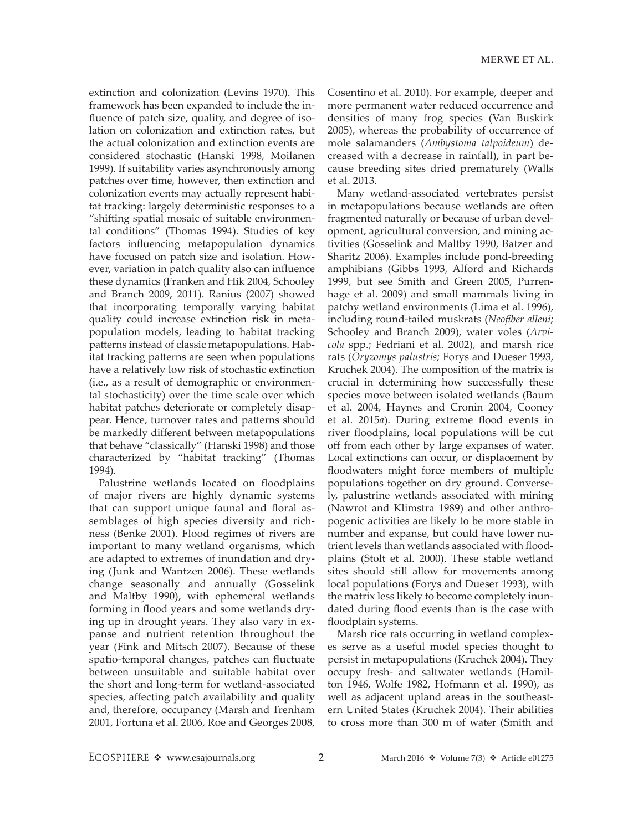extinction and colonization (Levins 1970). This framework has been expanded to include the influence of patch size, quality, and degree of isolation on colonization and extinction rates, but the actual colonization and extinction events are considered stochastic (Hanski 1998, Moilanen 1999). If suitability varies asynchronously among patches over time, however, then extinction and colonization events may actually represent habitat tracking: largely deterministic responses to a "shifting spatial mosaic of suitable environmental conditions" (Thomas 1994). Studies of key factors influencing metapopulation dynamics have focused on patch size and isolation. However, variation in patch quality also can influence these dynamics (Franken and Hik 2004, Schooley and Branch 2009, 2011). Ranius (2007) showed that incorporating temporally varying habitat quality could increase extinction risk in metapopulation models, leading to habitat tracking patterns instead of classic metapopulations. Habitat tracking patterns are seen when populations have a relatively low risk of stochastic extinction (i.e., as a result of demographic or environmental stochasticity) over the time scale over which habitat patches deteriorate or completely disappear. Hence, turnover rates and patterns should be markedly different between metapopulations that behave "classically" (Hanski 1998) and those characterized by "habitat tracking" (Thomas 1994).

Palustrine wetlands located on floodplains of major rivers are highly dynamic systems that can support unique faunal and floral assemblages of high species diversity and richness (Benke 2001). Flood regimes of rivers are important to many wetland organisms, which are adapted to extremes of inundation and drying (Junk and Wantzen 2006). These wetlands change seasonally and annually (Gosselink and Maltby 1990), with ephemeral wetlands forming in flood years and some wetlands drying up in drought years. They also vary in expanse and nutrient retention throughout the year (Fink and Mitsch 2007). Because of these spatio-temporal changes, patches can fluctuate between unsuitable and suitable habitat over the short and long-term for wetland-associated species, affecting patch availability and quality and, therefore, occupancy (Marsh and Trenham 2001, Fortuna et al. 2006, Roe and Georges 2008,

Cosentino et al. 2010). For example, deeper and more permanent water reduced occurrence and densities of many frog species (Van Buskirk 2005), whereas the probability of occurrence of mole salamanders (*Ambystoma talpoideum*) decreased with a decrease in rainfall), in part because breeding sites dried prematurely (Walls et al. 2013.

Many wetland-associated vertebrates persist in metapopulations because wetlands are often fragmented naturally or because of urban development, agricultural conversion, and mining activities (Gosselink and Maltby 1990, Batzer and Sharitz 2006). Examples include pond-breeding amphibians (Gibbs 1993, Alford and Richards 1999, but see Smith and Green 2005, Purrenhage et al. 2009) and small mammals living in patchy wetland environments (Lima et al. 1996), including round-tailed muskrats (*Neofiber alleni;* Schooley and Branch 2009), water voles (*Arvicola* spp.; Fedriani et al. 2002), and marsh rice rats (*Oryzomys palustris;* Forys and Dueser 1993, Kruchek 2004). The composition of the matrix is crucial in determining how successfully these species move between isolated wetlands (Baum et al. 2004, Haynes and Cronin 2004, Cooney et al. 2015*a*). During extreme flood events in river floodplains, local populations will be cut off from each other by large expanses of water. Local extinctions can occur, or displacement by floodwaters might force members of multiple populations together on dry ground. Conversely, palustrine wetlands associated with mining (Nawrot and Klimstra 1989) and other anthropogenic activities are likely to be more stable in number and expanse, but could have lower nutrient levels than wetlands associated with floodplains (Stolt et al. 2000). These stable wetland sites should still allow for movements among local populations (Forys and Dueser 1993), with the matrix less likely to become completely inundated during flood events than is the case with floodplain systems.

Marsh rice rats occurring in wetland complexes serve as a useful model species thought to persist in metapopulations (Kruchek 2004). They occupy fresh- and saltwater wetlands (Hamilton 1946, Wolfe 1982, Hofmann et al. 1990), as well as adjacent upland areas in the southeastern United States (Kruchek 2004). Their abilities to cross more than 300 m of water (Smith and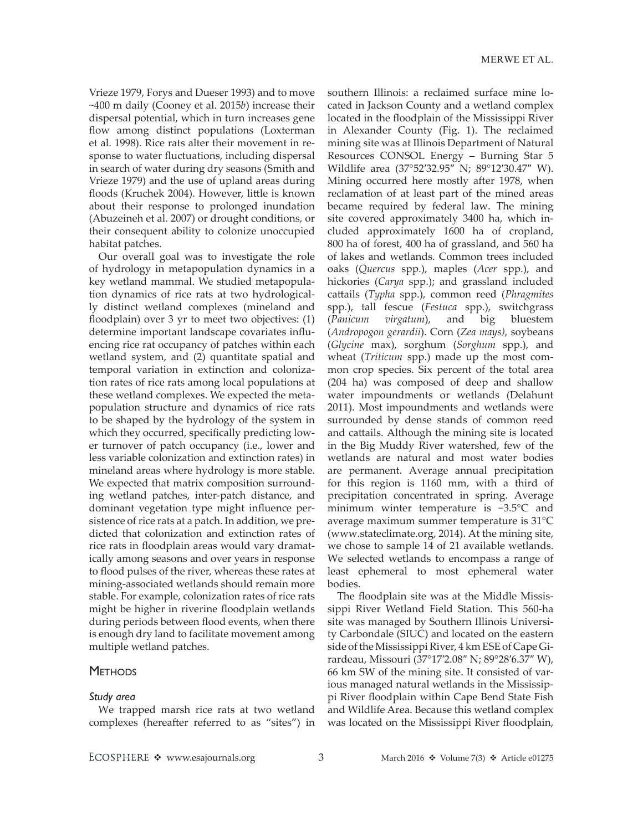Vrieze 1979, Forys and Dueser 1993) and to move ~400 m daily (Cooney et al. 2015*b*) increase their dispersal potential, which in turn increases gene flow among distinct populations (Loxterman et al. 1998). Rice rats alter their movement in response to water fluctuations, including dispersal in search of water during dry seasons (Smith and Vrieze 1979) and the use of upland areas during floods (Kruchek 2004). However, little is known about their response to prolonged inundation (Abuzeineh et al. 2007) or drought conditions, or their consequent ability to colonize unoccupied habitat patches.

Our overall goal was to investigate the role of hydrology in metapopulation dynamics in a key wetland mammal. We studied metapopulation dynamics of rice rats at two hydrologically distinct wetland complexes (mineland and floodplain) over 3 yr to meet two objectives: (1) determine important landscape covariates influencing rice rat occupancy of patches within each wetland system, and (2) quantitate spatial and temporal variation in extinction and colonization rates of rice rats among local populations at these wetland complexes. We expected the metapopulation structure and dynamics of rice rats to be shaped by the hydrology of the system in which they occurred, specifically predicting lower turnover of patch occupancy (i.e., lower and less variable colonization and extinction rates) in mineland areas where hydrology is more stable. We expected that matrix composition surrounding wetland patches, inter-patch distance, and dominant vegetation type might influence persistence of rice rats at a patch. In addition, we predicted that colonization and extinction rates of rice rats in floodplain areas would vary dramatically among seasons and over years in response to flood pulses of the river, whereas these rates at mining-associated wetlands should remain more stable. For example, colonization rates of rice rats might be higher in riverine floodplain wetlands during periods between flood events, when there is enough dry land to facilitate movement among multiple wetland patches.

#### **METHODS**

#### *Study area*

We trapped marsh rice rats at two wetland complexes (hereafter referred to as "sites") in southern Illinois: a reclaimed surface mine located in Jackson County and a wetland complex located in the floodplain of the Mississippi River in Alexander County (Fig. 1). The reclaimed mining site was at Illinois Department of Natural Resources CONSOL Energy – Burning Star 5 Wildlife area (37°52′32.95″ N; 89°12′30.47″ W). Mining occurred here mostly after 1978, when reclamation of at least part of the mined areas became required by federal law. The mining site covered approximately 3400 ha, which included approximately 1600 ha of cropland, 800 ha of forest, 400 ha of grassland, and 560 ha of lakes and wetlands. Common trees included oaks (*Quercus* spp.), maples (*Acer* spp.), and hickories (*Carya* spp.); and grassland included cattails (*Typha* spp.), common reed (*Phragmites* spp.), tall fescue (*Festuca* spp.), switchgrass (*Panicum virgatum*), and big bluestem (*Andropogon gerardii*). Corn (*Zea mays)*, soybeans (*Glycine* max), sorghum (*Sorghum* spp.), and wheat (*Triticum* spp.) made up the most common crop species. Six percent of the total area (204 ha) was composed of deep and shallow water impoundments or wetlands (Delahunt 2011). Most impoundments and wetlands were surrounded by dense stands of common reed and cattails. Although the mining site is located in the Big Muddy River watershed, few of the wetlands are natural and most water bodies are permanent. Average annual precipitation for this region is 1160 mm, with a third of precipitation concentrated in spring. Average minimum winter temperature is −3.5°C and average maximum summer temperature is 31°C [\(www.stateclimate.org](http://www.stateclimate.org), 2014). At the mining site, we chose to sample 14 of 21 available wetlands. We selected wetlands to encompass a range of least ephemeral to most ephemeral water bodies.

The floodplain site was at the Middle Mississippi River Wetland Field Station. This 560-ha site was managed by Southern Illinois University Carbondale (SIUC) and located on the eastern side of the Mississippi River, 4 km ESE of Cape Girardeau, Missouri (37°17′2.08″ N; 89°28′6.37″ W), 66 km SW of the mining site. It consisted of various managed natural wetlands in the Mississippi River floodplain within Cape Bend State Fish and Wildlife Area. Because this wetland complex was located on the Mississippi River floodplain,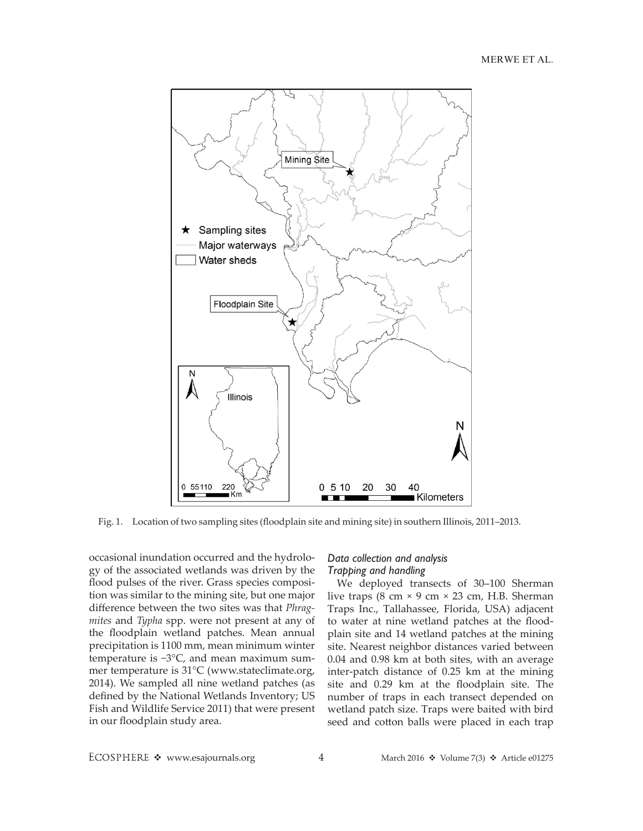

Fig. 1. Location of two sampling sites (floodplain site and mining site) in southern Illinois, 2011–2013.

occasional inundation occurred and the hydrology of the associated wetlands was driven by the flood pulses of the river. Grass species composition was similar to the mining site, but one major difference between the two sites was that *Phragmites* and *Typha* spp. were not present at any of the floodplain wetland patches. Mean annual precipitation is 1100 mm, mean minimum winter temperature is −3°C, and mean maximum summer temperature is 31°C ([www.stateclimate.org,](http://www.stateclimate.org) 2014). We sampled all nine wetland patches (as defined by the National Wetlands Inventory; US Fish and Wildlife Service 2011) that were present in our floodplain study area.

#### *Data collection and analysis Trapping and handling*

We deployed transects of 30–100 Sherman live traps  $(8 \text{ cm} \times 9 \text{ cm} \times 23 \text{ cm}, \text{ H.B. Sherman})$ Traps Inc., Tallahassee, Florida, USA) adjacent to water at nine wetland patches at the floodplain site and 14 wetland patches at the mining site. Nearest neighbor distances varied between 0.04 and 0.98 km at both sites, with an average inter-patch distance of 0.25 km at the mining site and 0.29 km at the floodplain site. The number of traps in each transect depended on wetland patch size. Traps were baited with bird seed and cotton balls were placed in each trap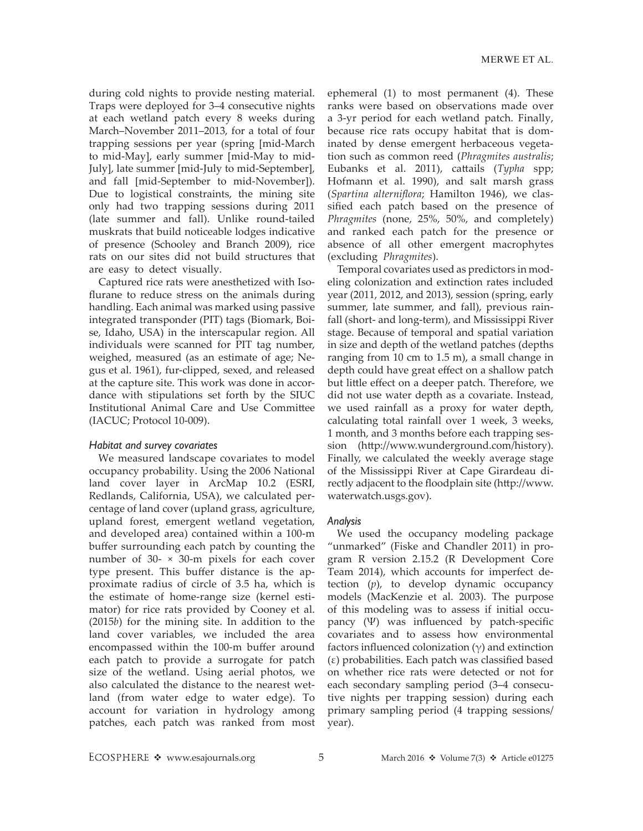during cold nights to provide nesting material. Traps were deployed for 3–4 consecutive nights at each wetland patch every 8 weeks during March–November 2011–2013, for a total of four trapping sessions per year (spring [mid-March to mid-May], early summer [mid-May to mid-July], late summer [mid-July to mid-September], and fall [mid-September to mid-November]). Due to logistical constraints, the mining site only had two trapping sessions during 2011 (late summer and fall). Unlike round-tailed muskrats that build noticeable lodges indicative of presence (Schooley and Branch 2009), rice rats on our sites did not build structures that are easy to detect visually.

Captured rice rats were anesthetized with Isoflurane to reduce stress on the animals during handling. Each animal was marked using passive integrated transponder (PIT) tags (Biomark, Boise, Idaho, USA) in the interscapular region. All individuals were scanned for PIT tag number, weighed, measured (as an estimate of age; Negus et al. 1961), fur-clipped, sexed, and released at the capture site. This work was done in accordance with stipulations set forth by the SIUC Institutional Animal Care and Use Committee (IACUC; Protocol 10-009).

#### *Habitat and survey covariates*

We measured landscape covariates to model occupancy probability. Using the 2006 National land cover layer in ArcMap 10.2 (ESRI, Redlands, California, USA), we calculated percentage of land cover (upland grass, agriculture, upland forest, emergent wetland vegetation, and developed area) contained within a 100-m buffer surrounding each patch by counting the number of 30- × 30-m pixels for each cover type present. This buffer distance is the approximate radius of circle of 3.5 ha, which is the estimate of home-range size (kernel estimator) for rice rats provided by Cooney et al. (2015*b*) for the mining site. In addition to the land cover variables, we included the area encompassed within the 100-m buffer around each patch to provide a surrogate for patch size of the wetland. Using aerial photos, we also calculated the distance to the nearest wetland (from water edge to water edge). To account for variation in hydrology among patches, each patch was ranked from most ephemeral (1) to most permanent (4). These ranks were based on observations made over a 3-yr period for each wetland patch. Finally, because rice rats occupy habitat that is dominated by dense emergent herbaceous vegetation such as common reed (*Phragmites australis*; Eubanks et al. 2011), cattails (*Typha* spp; Hofmann et al. 1990), and salt marsh grass (*Spartina alterniflora*; Hamilton 1946), we classified each patch based on the presence of *Phragmites* (none, 25%, 50%, and completely) and ranked each patch for the presence or absence of all other emergent macrophytes (excluding *Phragmites*).

Temporal covariates used as predictors in modeling colonization and extinction rates included year (2011, 2012, and 2013), session (spring, early summer, late summer, and fall), previous rainfall (short- and long-term), and Mississippi River stage. Because of temporal and spatial variation in size and depth of the wetland patches (depths ranging from 10 cm to 1.5 m), a small change in depth could have great effect on a shallow patch but little effect on a deeper patch. Therefore, we did not use water depth as a covariate. Instead, we used rainfall as a proxy for water depth, calculating total rainfall over 1 week, 3 weeks, 1 month, and 3 months before each trapping session [\(http://www.wunderground.com/history](http://www.wunderground.com/history)). Finally, we calculated the weekly average stage of the Mississippi River at Cape Girardeau directly adjacent to the floodplain site ([http://www.](http://www.waterwatch.usgs.gov) [waterwatch.usgs.gov](http://www.waterwatch.usgs.gov)).

#### *Analysis*

We used the occupancy modeling package "unmarked" (Fiske and Chandler 2011) in program R version 2.15.2 (R Development Core Team 2014), which accounts for imperfect detection (*p*), to develop dynamic occupancy models (MacKenzie et al. 2003). The purpose of this modeling was to assess if initial occupancy (Ψ) was influenced by patch-specific covariates and to assess how environmental factors influenced colonization  $(\gamma)$  and extinction (ε) probabilities. Each patch was classified based on whether rice rats were detected or not for each secondary sampling period (3–4 consecutive nights per trapping session) during each primary sampling period (4 trapping sessions/ year).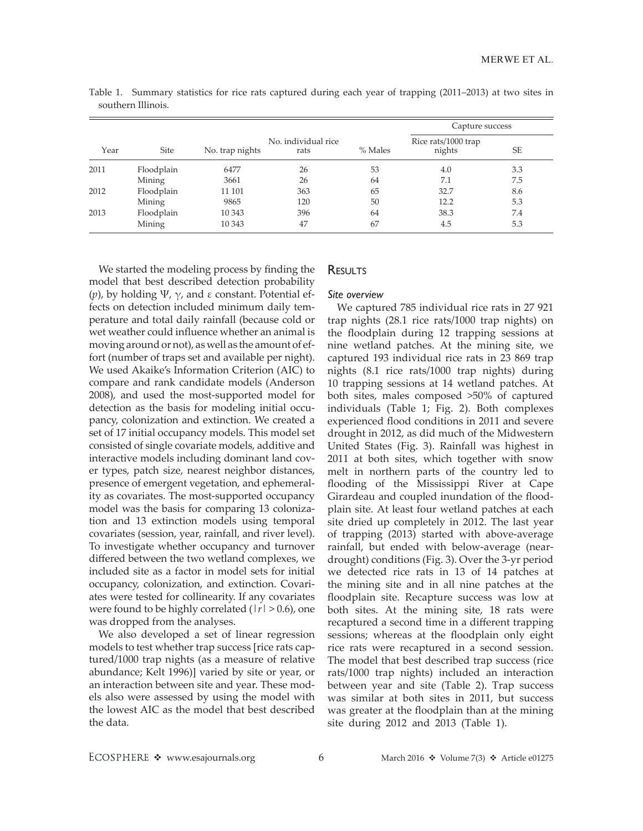|      |            |                 |                             |         | Capture success               |     |  |
|------|------------|-----------------|-----------------------------|---------|-------------------------------|-----|--|
| Year | Site       | No. trap nights | No. individual rice<br>rats | % Males | Rice rats/1000 trap<br>nights | SE  |  |
| 2011 | Floodplain | 6477            | 26                          | 53      | 4.0                           | 3.3 |  |
|      | Mining     | 3661            | 26                          | 64      | 7.1                           | 7.5 |  |
| 2012 | Floodplain | 11 101          | 363                         | 65      | 32.7                          | 8.6 |  |
|      | Mining     | 9865            | 120                         | 50      | 12.2                          | 5.3 |  |
| 2013 | Floodplain | 10 343          | 396                         | 64      | 38.3                          | 7.4 |  |
|      | Mining     | 10 343          | 47                          | 67      | 4.5                           | 5.3 |  |

Table 1. Summary statistics for rice rats captured during each year of trapping (2011–2013) at two sites in southern Illinois.

We started the modeling process by finding the model that best described detection probability (*p*), by holding Ψ, γ, and ε constant. Potential effects on detection included minimum daily temperature and total daily rainfall (because cold or wet weather could influence whether an animal is moving around or not), as well as the amount of effort (number of traps set and available per night). We used Akaike's Information Criterion (AIC) to compare and rank candidate models (Anderson 2008), and used the most-supported model for detection as the basis for modeling initial occupancy, colonization and extinction. We created a set of 17 initial occupancy models. This model set consisted of single covariate models, additive and interactive models including dominant land cover types, patch size, nearest neighbor distances, presence of emergent vegetation, and ephemerality as covariates. The most-supported occupancy model was the basis for comparing 13 colonization and 13 extinction models using temporal covariates (session, year, rainfall, and river level). To investigate whether occupancy and turnover differed between the two wetland complexes, we included site as a factor in model sets for initial occupancy, colonization, and extinction. Covariates were tested for collinearity. If any covariates were found to be highly correlated (|*r*| > 0.6), one was dropped from the analyses.

We also developed a set of linear regression models to test whether trap success [rice rats captured/1000 trap nights (as a measure of relative abundance; Kelt 1996)] varied by site or year, or an interaction between site and year. These models also were assessed by using the model with the lowest AIC as the model that best described the data.

### RESULTS

#### *Site overview*

We captured 785 individual rice rats in 27 921 trap nights (28.1 rice rats/1000 trap nights) on the floodplain during 12 trapping sessions at nine wetland patches. At the mining site, we captured 193 individual rice rats in 23 869 trap nights (8.1 rice rats/1000 trap nights) during 10 trapping sessions at 14 wetland patches. At both sites, males composed >50% of captured individuals (Table 1; Fig. 2). Both complexes experienced flood conditions in 2011 and severe drought in 2012, as did much of the Midwestern United States (Fig. 3). Rainfall was highest in 2011 at both sites, which together with snow melt in northern parts of the country led to flooding of the Mississippi River at Cape Girardeau and coupled inundation of the floodplain site. At least four wetland patches at each site dried up completely in 2012. The last year of trapping (2013) started with above-average rainfall, but ended with below-average (neardrought) conditions (Fig. 3). Over the 3-yr period we detected rice rats in 13 of 14 patches at the mining site and in all nine patches at the floodplain site. Recapture success was low at both sites. At the mining site, 18 rats were recaptured a second time in a different trapping sessions; whereas at the floodplain only eight rice rats were recaptured in a second session. The model that best described trap success (rice rats/1000 trap nights) included an interaction between year and site (Table 2). Trap success was similar at both sites in 2011, but success was greater at the floodplain than at the mining site during 2012 and 2013 (Table 1).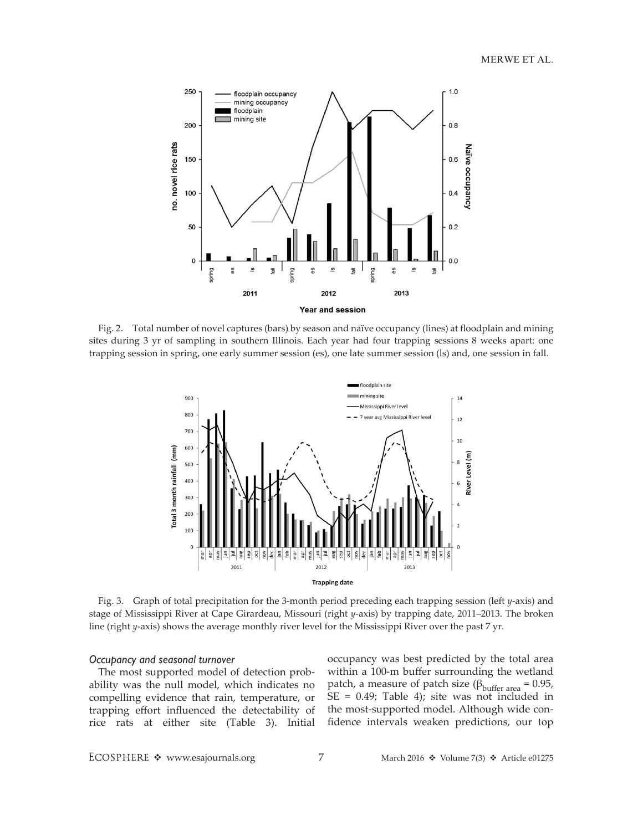

Fig. 2. Total number of novel captures (bars) by season and naïve occupancy (lines) at floodplain and mining sites during 3 yr of sampling in southern Illinois. Each year had four trapping sessions 8 weeks apart: one trapping session in spring, one early summer session (es), one late summer session (ls) and, one session in fall.



Fig. 3. Graph of total precipitation for the 3-month period preceding each trapping session (left *y*-axis) and stage of Mississippi River at Cape Girardeau, Missouri (right *y*-axis) by trapping date, 2011–2013. The broken line (right *y*-axis) shows the average monthly river level for the Mississippi River over the past 7 yr.

#### *Occupancy and seasonal turnover*

The most supported model of detection probability was the null model, which indicates no compelling evidence that rain, temperature, or trapping effort influenced the detectability of rice rats at either site (Table 3). Initial occupancy was best predicted by the total area within a 100-m buffer surrounding the wetland patch, a measure of patch size ( $β<sub>buffer area</sub> = 0.95$ , SE = 0.49; Table 4); site was not included in the most-supported model. Although wide confidence intervals weaken predictions, our top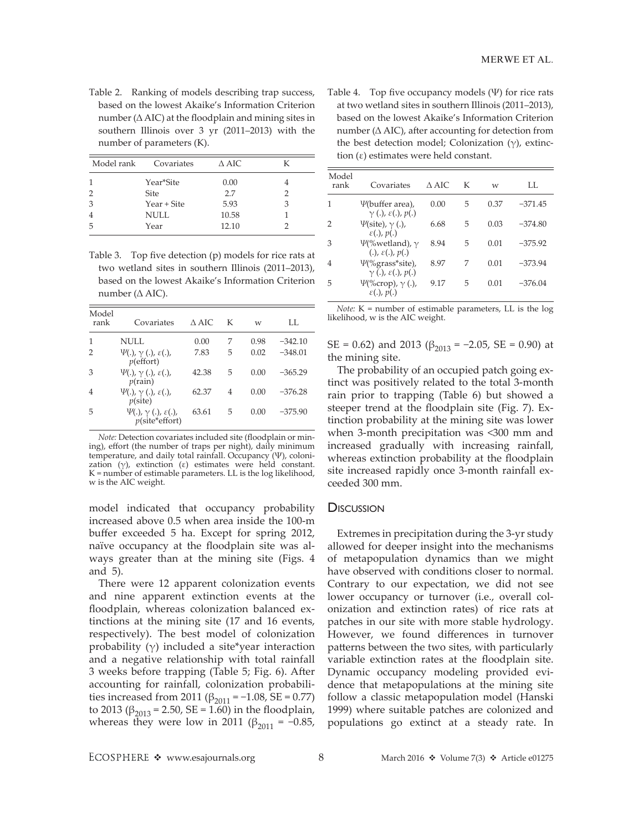Table 2. Ranking of models describing trap success, based on the lowest Akaike's Information Criterion number (∆ AIC) at the floodplain and mining sites in southern Illinois over 3 yr (2011–2013) with the number of parameters (K).

| Model rank | Covariates  | $\triangle$ AIC |   |
|------------|-------------|-----------------|---|
|            | Year*Site   | 0.00            |   |
|            | <b>Site</b> | 27              |   |
| 3          | Year + Site | 5.93            | З |
|            | <b>NULL</b> | 10.58           |   |
| 5          | Year        | 12.10           |   |

Table 3. Top five detection (p) models for rice rats at two wetland sites in southern Illinois (2011–2013), based on the lowest Akaike's Information Criterion number (∆ AIC).

| Model<br>rank | Covariates                                                               | $\wedge$ AIC | К | W    | LL.       |
|---------------|--------------------------------------------------------------------------|--------------|---|------|-----------|
| 1             | NULL                                                                     | 0.00         | 7 | 0.98 | $-342.10$ |
| 2             | $\Psi(.)$ , $\gamma$ (.), $\varepsilon(.)$ ,<br>$p$ (effort)             | 7.83         | 5 | 0.02 | $-348.01$ |
| З             | $\Psi(.)$ , $\gamma$ (.), $\varepsilon(.)$ ,<br>$p(\text{rain})$         | 42.38        | 5 | 0.00 | $-365.29$ |
| 4             | $\Psi(.)$ , $\gamma$ (.), $\varepsilon(.)$ ,<br>$p(\text{site})$         | 62.37        | 4 | 0.00 | $-376.28$ |
| 5             | $\Psi(.)$ , $\gamma$ (.), $\varepsilon(.)$ ,<br>$p(\text{site*}$ effort) | 63.61        | 5 | 0.00 | $-375.90$ |

*Note:* Detection covariates included site (floodplain or mining), effort (the number of traps per night), daily minimum temperature, and daily total rainfall. Occupancy (Ψ), colonization  $(\gamma)$ , extinction  $(\varepsilon)$  estimates were held constant. K = number of estimable parameters. LL is the log likelihood, w is the AIC weight.

model indicated that occupancy probability increased above 0.5 when area inside the 100-m buffer exceeded 5 ha. Except for spring 2012, naïve occupancy at the floodplain site was always greater than at the mining site (Figs. 4 and 5).

There were 12 apparent colonization events and nine apparent extinction events at the floodplain, whereas colonization balanced extinctions at the mining site (17 and 16 events, respectively). The best model of colonization probability  $(\gamma)$  included a site\*year interaction and a negative relationship with total rainfall 3 weeks before trapping (Table 5; Fig. 6). After accounting for rainfall, colonization probabilities increased from 2011 ( $\beta_{2011} = -1.08$ , SE = 0.77) to 2013 (β<sub>2013</sub> = 2.50, SE = 1.60) in the floodplain, whereas they were low in 2011 (β<sub>2011</sub> = −0.85,

Table 4. Top five occupancy models  $(\Psi)$  for rice rats at two wetland sites in southern Illinois (2011–2013), based on the lowest Akaike's Information Criterion number (∆ AIC), after accounting for detection from the best detection model; Colonization  $(\gamma)$ , extinction (ε) estimates were held constant.

| Model<br>rank | Covariates                                                         | A AIC | K | w    | LL.       |
|---------------|--------------------------------------------------------------------|-------|---|------|-----------|
| 1             | <i>V</i> (buffer area),<br>$\gamma$ (.), $\varepsilon$ (.), $p(.)$ | 0.00  | 5 | 0.37 | $-371.45$ |
| $\mathcal{P}$ | $\Psi(\text{site})$ , $\gamma$ (.),<br>$\varepsilon(.)$ , $p(.)$   | 6.68  | 5 | 0.03 | $-374.80$ |
| 3             | $\Psi$ (%wetland), $\gamma$<br>$(.)$ , $\varepsilon(.)$ , $p(.)$   | 894   | 5 | 0.01 | $-375.92$ |
| 4             | $\Psi$ (%grass*site),<br>$\gamma$ (.), $\varepsilon$ (.), $p(.)$   | 897   | 7 | 0.01 | $-373.94$ |
| 5             | $\Psi$ (%crop), $\gamma$ (.),<br>$\varepsilon(.)$ , $p(.)$         | 9 1 7 | 5 | 0.01 | $-376.04$ |

*Note:* K = number of estimable parameters, LL is the log likelihood, w is the AIC weight.

SE = 0.62) and 2013 ( $\beta_{2013}$  = -2.05, SE = 0.90) at the mining site.

The probability of an occupied patch going extinct was positively related to the total 3-month rain prior to trapping (Table 6) but showed a steeper trend at the floodplain site (Fig. 7). Extinction probability at the mining site was lower when 3-month precipitation was <300 mm and increased gradually with increasing rainfall, whereas extinction probability at the floodplain site increased rapidly once 3-month rainfall exceeded 300 mm.

#### **D**iscussion

Extremes in precipitation during the 3-yr study allowed for deeper insight into the mechanisms of metapopulation dynamics than we might have observed with conditions closer to normal. Contrary to our expectation, we did not see lower occupancy or turnover (i.e., overall colonization and extinction rates) of rice rats at patches in our site with more stable hydrology. However, we found differences in turnover patterns between the two sites, with particularly variable extinction rates at the floodplain site. Dynamic occupancy modeling provided evidence that metapopulations at the mining site follow a classic metapopulation model (Hanski 1999) where suitable patches are colonized and populations go extinct at a steady rate. In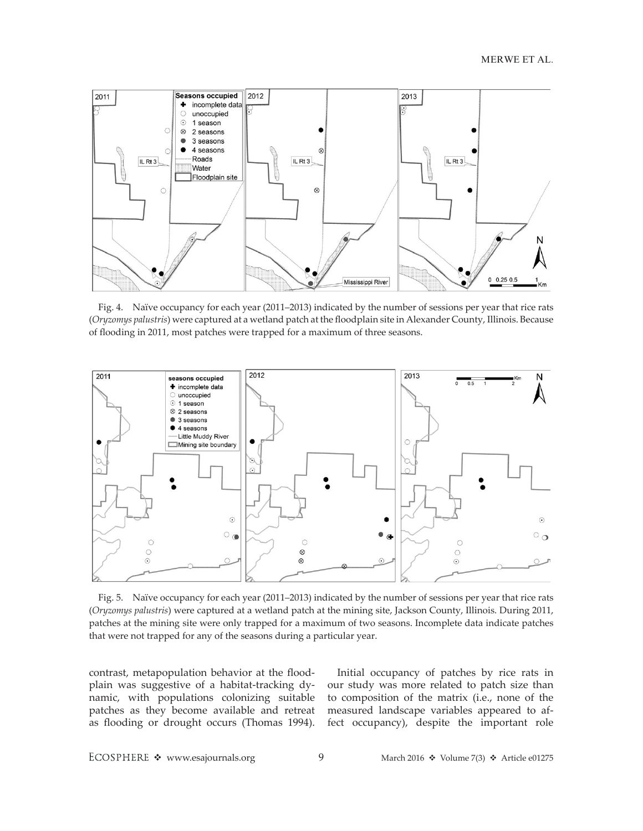

Fig. 4. Naïve occupancy for each year (2011–2013) indicated by the number of sessions per year that rice rats (*Oryzomys palustris*) were captured at a wetland patch at the floodplain site in Alexander County, Illinois. Because of flooding in 2011, most patches were trapped for a maximum of three seasons.



Fig. 5. Naïve occupancy for each year (2011–2013) indicated by the number of sessions per year that rice rats (*Oryzomys palustris*) were captured at a wetland patch at the mining site, Jackson County, Illinois. During 2011, patches at the mining site were only trapped for a maximum of two seasons. Incomplete data indicate patches that were not trapped for any of the seasons during a particular year.

contrast, metapopulation behavior at the floodplain was suggestive of a habitat-tracking dynamic, with populations colonizing suitable patches as they become available and retreat as flooding or drought occurs (Thomas 1994).

Initial occupancy of patches by rice rats in our study was more related to patch size than to composition of the matrix (i.e., none of the measured landscape variables appeared to affect occupancy), despite the important role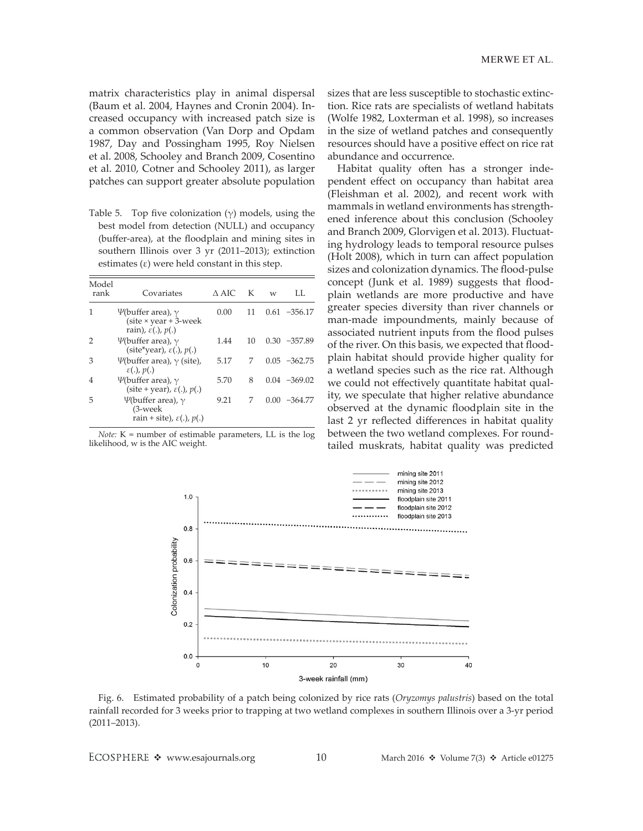matrix characteristics play in animal dispersal (Baum et al. 2004, Haynes and Cronin 2004). Increased occupancy with increased patch size is a common observation (Van Dorp and Opdam 1987, Day and Possingham 1995, Roy Nielsen et al. 2008, Schooley and Branch 2009, Cosentino et al. 2010, Cotner and Schooley 2011), as larger patches can support greater absolute population

Table 5. Top five colonization  $(\gamma)$  models, using the best model from detection (NULL) and occupancy (buffer-area), at the floodplain and mining sites in southern Illinois over 3 yr (2011–2013); extinction estimates  $(\varepsilon)$  were held constant in this step.

| Model<br>rank | Covariates                                                                                         | $\wedge$ AIC | K  | W    | LL.             |
|---------------|----------------------------------------------------------------------------------------------------|--------------|----|------|-----------------|
|               | $\Psi$ (buffer area), $\gamma$<br>(site $\times$ year + 3-week<br>rain), $\varepsilon(.)$ , $p(.)$ | 0.00         | 11 |      | $0.61 - 356.17$ |
| 2             | $\Psi$ (buffer area), $\gamma$<br>(site*year), $\varepsilon(.)$ , $p(.)$                           | 1.44         | 10 |      | $0.30 -357.89$  |
| З             | $\Psi$ (buffer area), $\nu$ (site),<br>$\varepsilon(.)$ , $p(.)$                                   | 5.17         | 7  |      | $0.05 -362.75$  |
| 4             | $\Psi$ (buffer area), $\gamma$<br>(site + year), $\varepsilon(.)$ , $p(.)$                         | 5.70         | 8  |      | $0.04 -369.02$  |
| 5             | $\Psi$ (buffer area), $\gamma$<br>$(3$ -week<br>rain + site), $\varepsilon(.)$ , $p(.)$            | 9.21         | 7  | 0.00 | $-364.77$       |

*Note:* K = number of estimable parameters, LL is the log likelihood, w is the AIC weight.

sizes that are less susceptible to stochastic extinction. Rice rats are specialists of wetland habitats (Wolfe 1982, Loxterman et al. 1998), so increases in the size of wetland patches and consequently resources should have a positive effect on rice rat abundance and occurrence.

Habitat quality often has a stronger independent effect on occupancy than habitat area (Fleishman et al. 2002), and recent work with mammals in wetland environments has strengthened inference about this conclusion (Schooley and Branch 2009, Glorvigen et al. 2013). Fluctuating hydrology leads to temporal resource pulses (Holt 2008), which in turn can affect population sizes and colonization dynamics. The flood-pulse concept (Junk et al. 1989) suggests that floodplain wetlands are more productive and have greater species diversity than river channels or man-made impoundments, mainly because of associated nutrient inputs from the flood pulses of the river. On this basis, we expected that floodplain habitat should provide higher quality for a wetland species such as the rice rat. Although we could not effectively quantitate habitat quality, we speculate that higher relative abundance observed at the dynamic floodplain site in the last 2 yr reflected differences in habitat quality between the two wetland complexes. For roundtailed muskrats, habitat quality was predicted



Fig. 6. Estimated probability of a patch being colonized by rice rats (*Oryzomys palustris*) based on the total rainfall recorded for 3 weeks prior to trapping at two wetland complexes in southern Illinois over a 3-yr period (2011–2013).

ECOSPHERE  $\div$  www.esajournals.org 10 March 2016  $\div$  Volume 7(3)  $\div$  Article e01275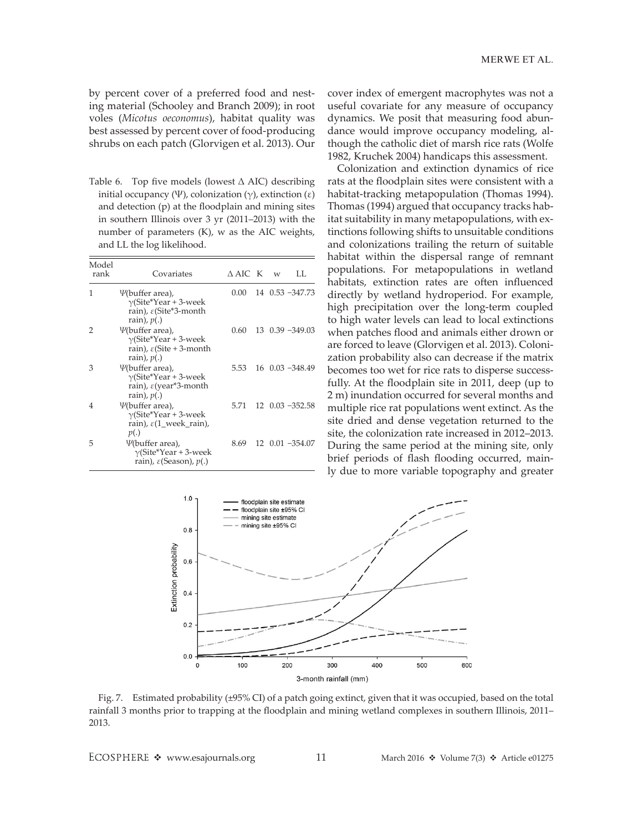by percent cover of a preferred food and nesting material (Schooley and Branch 2009); in root voles (*Micotus oeconomus*), habitat quality was best assessed by percent cover of food-producing shrubs on each patch (Glorvigen et al. 2013). Our

Table 6. Top five models (lowest ∆ AIC) describing initial occupancy (Ψ), colonization (γ), extinction (ε) and detection (p) at the floodplain and mining sites in southern Illinois over 3 yr (2011–2013) with the number of parameters (K), w as the AIC weights, and LL the log likelihood.

| Model<br>rank | Covariates                                                                                                       | A AIC K w |  | LL.                      |
|---------------|------------------------------------------------------------------------------------------------------------------|-----------|--|--------------------------|
| 1             | $\Psi$ (buffer area),<br>$\gamma$ (Site*Year + 3-week<br>rain), $\varepsilon$ (Site*3-month<br>rain), $p(.)$     | 0.00      |  | 14 0.53 -347.73          |
| 2             | <i>V</i> (buffer area),<br>$\gamma$ (Site*Year + 3-week<br>rain), $\varepsilon$ (Site + 3-month<br>rain), $p(.)$ | 0.60      |  | $13 \quad 0.39 - 349.03$ |
| З             | <i>V</i> (buffer area),<br>$\gamma$ (Site*Year + 3-week<br>rain), ε(year*3-month<br>rain), $p(.)$                | 5.53      |  | $16 \quad 0.03 - 348.49$ |
| 4             | <i>V</i> (buffer area),<br>$\gamma$ (Site*Year + 3-week<br>rain), $\varepsilon(1$ week rain),<br>p(.)            | 5 71      |  | $12$ 0.03 $-352.58$      |
| 5             | $\Psi$ (buffer area),<br>$\gamma$ (Site*Year + 3-week<br>rain), $\varepsilon$ (Season), $p(.)$                   | 8.69      |  | $12$ 0.01 $-354.07$      |

cover index of emergent macrophytes was not a useful covariate for any measure of occupancy dynamics. We posit that measuring food abundance would improve occupancy modeling, although the catholic diet of marsh rice rats (Wolfe 1982, Kruchek 2004) handicaps this assessment.

Colonization and extinction dynamics of rice rats at the floodplain sites were consistent with a habitat-tracking metapopulation (Thomas 1994). Thomas (1994) argued that occupancy tracks habitat suitability in many metapopulations, with extinctions following shifts to unsuitable conditions and colonizations trailing the return of suitable habitat within the dispersal range of remnant populations. For metapopulations in wetland habitats, extinction rates are often influenced directly by wetland hydroperiod. For example, high precipitation over the long-term coupled to high water levels can lead to local extinctions when patches flood and animals either drown or are forced to leave (Glorvigen et al. 2013). Colonization probability also can decrease if the matrix becomes too wet for rice rats to disperse successfully. At the floodplain site in 2011, deep (up to 2 m) inundation occurred for several months and multiple rice rat populations went extinct. As the site dried and dense vegetation returned to the site, the colonization rate increased in 2012–2013. During the same period at the mining site, only brief periods of flash flooding occurred, mainly due to more variable topography and greater



Fig. 7. Estimated probability (±95% CI) of a patch going extinct, given that it was occupied, based on the total rainfall 3 months prior to trapping at the floodplain and mining wetland complexes in southern Illinois, 2011– 2013.

ECOSPHERE  $\triangleleft$  www.esajournals.org 11 March 2016  $\triangleleft$  Volume 7(3)  $\triangleleft$  Article e01275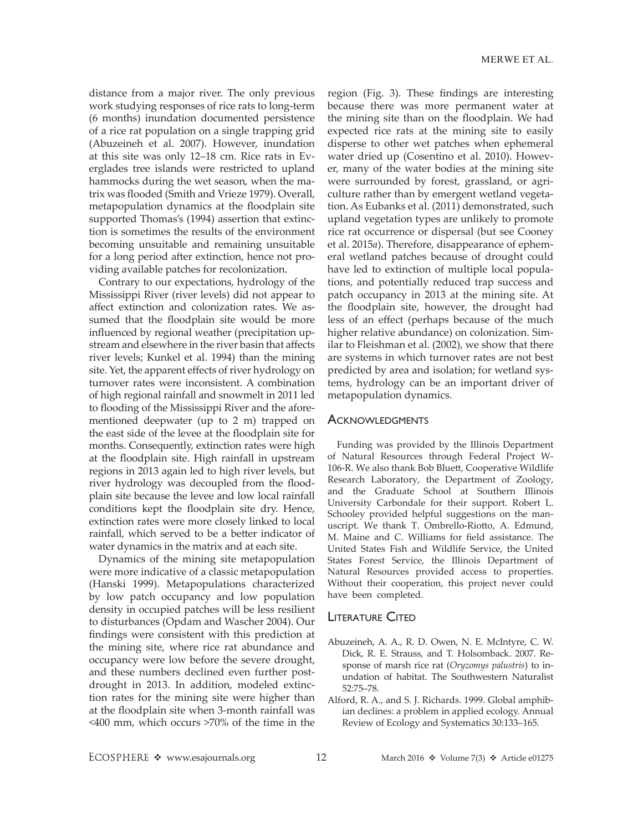distance from a major river. The only previous work studying responses of rice rats to long-term (6 months) inundation documented persistence of a rice rat population on a single trapping grid (Abuzeineh et al. 2007). However, inundation at this site was only 12–18 cm. Rice rats in Everglades tree islands were restricted to upland hammocks during the wet season, when the matrix was flooded (Smith and Vrieze 1979). Overall, metapopulation dynamics at the floodplain site supported Thomas's (1994) assertion that extinction is sometimes the results of the environment becoming unsuitable and remaining unsuitable for a long period after extinction, hence not providing available patches for recolonization.

Contrary to our expectations, hydrology of the Mississippi River (river levels) did not appear to affect extinction and colonization rates. We assumed that the floodplain site would be more influenced by regional weather (precipitation upstream and elsewhere in the river basin that affects river levels; Kunkel et al. 1994) than the mining site. Yet, the apparent effects of river hydrology on turnover rates were inconsistent. A combination of high regional rainfall and snowmelt in 2011 led to flooding of the Mississippi River and the aforementioned deepwater (up to 2 m) trapped on the east side of the levee at the floodplain site for months. Consequently, extinction rates were high at the floodplain site. High rainfall in upstream regions in 2013 again led to high river levels, but river hydrology was decoupled from the floodplain site because the levee and low local rainfall conditions kept the floodplain site dry. Hence, extinction rates were more closely linked to local rainfall, which served to be a better indicator of water dynamics in the matrix and at each site.

Dynamics of the mining site metapopulation were more indicative of a classic metapopulation (Hanski 1999). Metapopulations characterized by low patch occupancy and low population density in occupied patches will be less resilient to disturbances (Opdam and Wascher 2004). Our findings were consistent with this prediction at the mining site, where rice rat abundance and occupancy were low before the severe drought, and these numbers declined even further postdrought in 2013. In addition, modeled extinction rates for the mining site were higher than at the floodplain site when 3-month rainfall was <400 mm, which occurs >70% of the time in the region (Fig. 3). These findings are interesting because there was more permanent water at the mining site than on the floodplain. We had expected rice rats at the mining site to easily disperse to other wet patches when ephemeral water dried up (Cosentino et al. 2010). However, many of the water bodies at the mining site were surrounded by forest, grassland, or agriculture rather than by emergent wetland vegetation. As Eubanks et al. (2011) demonstrated, such upland vegetation types are unlikely to promote rice rat occurrence or dispersal (but see Cooney et al. 2015*a*). Therefore, disappearance of ephemeral wetland patches because of drought could have led to extinction of multiple local populations, and potentially reduced trap success and patch occupancy in 2013 at the mining site. At the floodplain site, however, the drought had less of an effect (perhaps because of the much higher relative abundance) on colonization. Similar to Fleishman et al. (2002), we show that there are systems in which turnover rates are not best predicted by area and isolation; for wetland systems, hydrology can be an important driver of metapopulation dynamics.

#### **ACKNOWLEDGMENTS**

Funding was provided by the Illinois Department of Natural Resources through Federal Project W-106-R. We also thank Bob Bluett, Cooperative Wildlife Research Laboratory, the Department of Zoology, and the Graduate School at Southern Illinois University Carbondale for their support. Robert L. Schooley provided helpful suggestions on the manuscript. We thank T. Ombrello-Riotto, A. Edmund, M. Maine and C. Williams for field assistance. The United States Fish and Wildlife Service, the United States Forest Service, the Illinois Department of Natural Resources provided access to properties. Without their cooperation, this project never could have been completed.

#### **LITERATURE CITED**

- Abuzeineh, A. A., R. D. Owen, N. E. McIntyre, C. W. Dick, R. E. Strauss, and T. Holsomback. 2007. Response of marsh rice rat (*Oryzomys palustris*) to inundation of habitat. The Southwestern Naturalist 52:75–78.
- Alford, R. A., and S. J. Richards. 1999. Global amphibian declines: a problem in applied ecology. Annual Review of Ecology and Systematics 30:133–165.

ECOSPHERE  $\triangleleft$  www.esajournals.org 12 March 2016  $\triangleleft$  Volume 7(3)  $\triangleleft$  Article e01275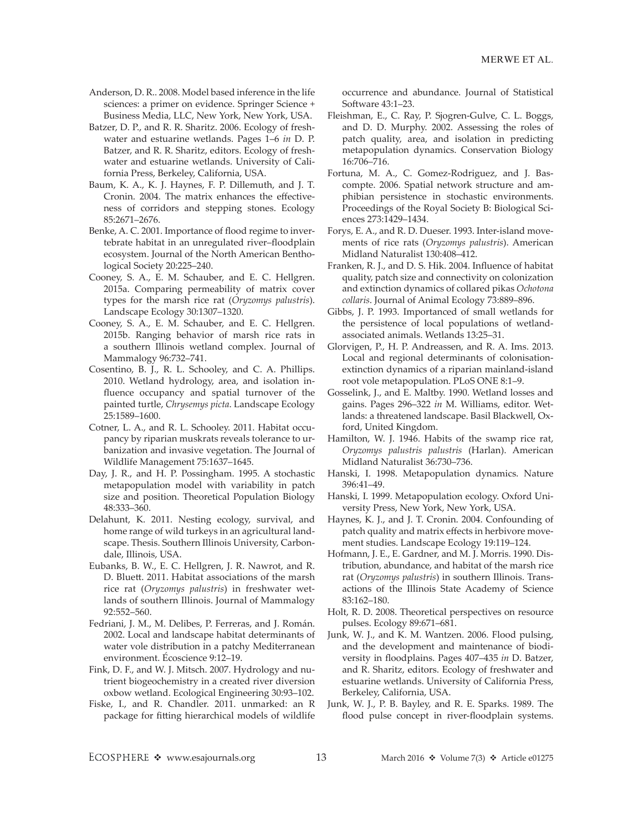- Anderson, D. R.. 2008. Model based inference in the life sciences: a primer on evidence. Springer Science + Business Media, LLC, New York, New York, USA.
- Batzer, D. P., and R. R. Sharitz. 2006. Ecology of freshwater and estuarine wetlands. Pages 1–6 *in* D. P. Batzer, and R. R. Sharitz, editors. Ecology of freshwater and estuarine wetlands. University of California Press, Berkeley, California, USA.
- Baum, K. A., K. J. Haynes, F. P. Dillemuth, and J. T. Cronin. 2004. The matrix enhances the effectiveness of corridors and stepping stones. Ecology 85:2671–2676.
- Benke, A. C. 2001. Importance of flood regime to invertebrate habitat in an unregulated river–floodplain ecosystem. Journal of the North American Benthological Society 20:225–240.
- Cooney, S. A., E. M. Schauber, and E. C. Hellgren. 2015a. Comparing permeability of matrix cover types for the marsh rice rat (*Oryzomys palustris*). Landscape Ecology 30:1307–1320.
- Cooney, S. A., E. M. Schauber, and E. C. Hellgren. 2015b. Ranging behavior of marsh rice rats in a southern Illinois wetland complex. Journal of Mammalogy 96:732–741.
- Cosentino, B. J., R. L. Schooley, and C. A. Phillips. 2010. Wetland hydrology, area, and isolation influence occupancy and spatial turnover of the painted turtle, *Chrysemys picta*. Landscape Ecology 25:1589–1600.
- Cotner, L. A., and R. L. Schooley. 2011. Habitat occupancy by riparian muskrats reveals tolerance to urbanization and invasive vegetation. The Journal of Wildlife Management 75:1637–1645.
- Day, J. R., and H. P. Possingham. 1995. A stochastic metapopulation model with variability in patch size and position. Theoretical Population Biology 48:333–360.
- Delahunt, K. 2011. Nesting ecology, survival, and home range of wild turkeys in an agricultural landscape. Thesis. Southern Illinois University, Carbondale, Illinois, USA.
- Eubanks, B. W., E. C. Hellgren, J. R. Nawrot, and R. D. Bluett. 2011. Habitat associations of the marsh rice rat (*Oryzomys palustris*) in freshwater wetlands of southern Illinois. Journal of Mammalogy 92:552–560.
- Fedriani, J. M., M. Delibes, P. Ferreras, and J. Román. 2002. Local and landscape habitat determinants of water vole distribution in a patchy Mediterranean environment. Écoscience 9:12–19.
- Fink, D. F., and W. J. Mitsch. 2007. Hydrology and nutrient biogeochemistry in a created river diversion oxbow wetland. Ecological Engineering 30:93–102.
- Fiske, I., and R. Chandler. 2011. unmarked: an R package for fitting hierarchical models of wildlife

occurrence and abundance. Journal of Statistical Software 43:1–23.

- Fleishman, E., C. Ray, P. Sjogren-Gulve, C. L. Boggs, and D. D. Murphy. 2002. Assessing the roles of patch quality, area, and isolation in predicting metapopulation dynamics. Conservation Biology 16:706–716.
- Fortuna, M. A., C. Gomez-Rodriguez, and J. Bascompte. 2006. Spatial network structure and amphibian persistence in stochastic environments. Proceedings of the Royal Society B: Biological Sciences 273:1429–1434.
- Forys, E. A., and R. D. Dueser. 1993. Inter-island movements of rice rats (*Oryzomys palustris*). American Midland Naturalist 130:408–412.
- Franken, R. J., and D. S. Hik. 2004. Influence of habitat quality, patch size and connectivity on colonization and extinction dynamics of collared pikas *Ochotona collaris*. Journal of Animal Ecology 73:889–896.
- Gibbs, J. P. 1993. Importanced of small wetlands for the persistence of local populations of wetlandassociated animals. Wetlands 13:25–31.
- Glorvigen, P., H. P. Andreassen, and R. A. Ims. 2013. Local and regional determinants of colonisationextinction dynamics of a riparian mainland-island root vole metapopulation. PLoS ONE 8:1–9.
- Gosselink, J., and E. Maltby. 1990. Wetland losses and gains. Pages 296–322 *in* M. Williams, editor. Wetlands: a threatened landscape. Basil Blackwell, Oxford, United Kingdom.
- Hamilton, W. J. 1946. Habits of the swamp rice rat, *Oryzomys palustris palustris* (Harlan). American Midland Naturalist 36:730–736.
- Hanski, I. 1998. Metapopulation dynamics. Nature 396:41–49.
- Hanski, I. 1999. Metapopulation ecology. Oxford University Press, New York, New York, USA.
- Haynes, K. J., and J. T. Cronin. 2004. Confounding of patch quality and matrix effects in herbivore movement studies. Landscape Ecology 19:119–124.
- Hofmann, J. E., E. Gardner, and M. J. Morris. 1990. Distribution, abundance, and habitat of the marsh rice rat (*Oryzomys palustris*) in southern Illinois. Transactions of the Illinois State Academy of Science 83:162–180.
- Holt, R. D. 2008. Theoretical perspectives on resource pulses. Ecology 89:671–681.
- Junk, W. J., and K. M. Wantzen. 2006. Flood pulsing, and the development and maintenance of biodiversity in floodplains. Pages 407–435 *in* D. Batzer, and R. Sharitz, editors. Ecology of freshwater and estuarine wetlands. University of California Press, Berkeley, California, USA.
- Junk, W. J., P. B. Bayley, and R. E. Sparks. 1989. The flood pulse concept in river-floodplain systems.